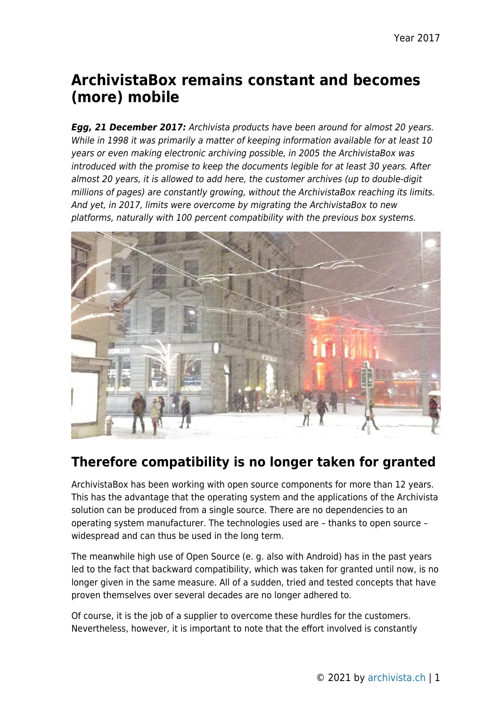# **ArchivistaBox remains constant and becomes (more) mobile**

*Egg, 21 December 2017:* Archivista products have been around for almost 20 years. While in 1998 it was primarily a matter of keeping information available for at least 10 years or even making electronic archiving possible, in 2005 the ArchivistaBox was introduced with the promise to keep the documents legible for at least 30 years. After almost 20 years, it is allowed to add here, the customer archives (up to double-digit millions of pages) are constantly growing, without the ArchivistaBox reaching its limits. And yet, in 2017, limits were overcome by migrating the ArchivistaBox to new platforms, naturally with 100 percent compatibility with the previous box systems.



### **Therefore compatibility is no longer taken for granted**

ArchivistaBox has been working with open source components for more than 12 years. This has the advantage that the operating system and the applications of the Archivista solution can be produced from a single source. There are no dependencies to an operating system manufacturer. The technologies used are – thanks to open source – widespread and can thus be used in the long term.

The meanwhile high use of Open Source (e. g. also with Android) has in the past years led to the fact that backward compatibility, which was taken for granted until now, is no longer given in the same measure. All of a sudden, tried and tested concepts that have proven themselves over several decades are no longer adhered to.

Of course, it is the job of a supplier to overcome these hurdles for the customers. Nevertheless, however, it is important to note that the effort involved is constantly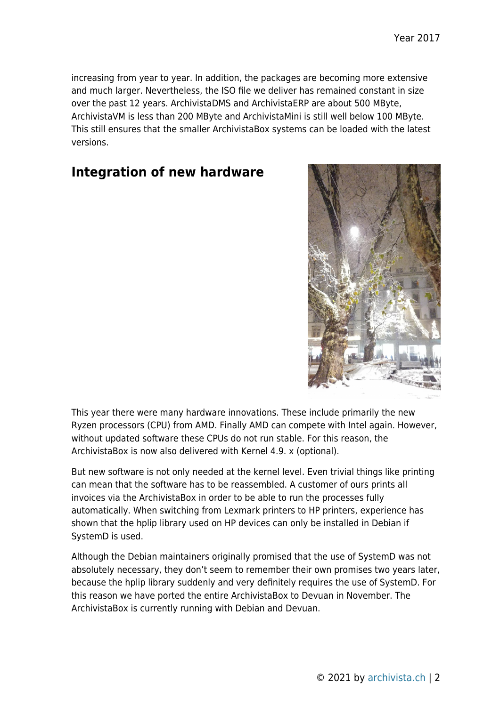increasing from year to year. In addition, the packages are becoming more extensive and much larger. Nevertheless, the ISO file we deliver has remained constant in size over the past 12 years. ArchivistaDMS and ArchivistaERP are about 500 MByte, ArchivistaVM is less than 200 MByte and ArchivistaMini is still well below 100 MByte. This still ensures that the smaller ArchivistaBox systems can be loaded with the latest versions.

#### **Integration of new hardware**



This year there were many hardware innovations. These include primarily the new Ryzen processors (CPU) from AMD. Finally AMD can compete with Intel again. However, without updated software these CPUs do not run stable. For this reason, the ArchivistaBox is now also delivered with Kernel 4.9. x (optional).

But new software is not only needed at the kernel level. Even trivial things like printing can mean that the software has to be reassembled. A customer of ours prints all invoices via the ArchivistaBox in order to be able to run the processes fully automatically. When switching from Lexmark printers to HP printers, experience has shown that the hplip library used on HP devices can only be installed in Debian if SystemD is used.

Although the Debian maintainers originally promised that the use of SystemD was not absolutely necessary, they don't seem to remember their own promises two years later, because the hplip library suddenly and very definitely requires the use of SystemD. For this reason we have ported the entire ArchivistaBox to Devuan in November. The ArchivistaBox is currently running with Debian and Devuan.